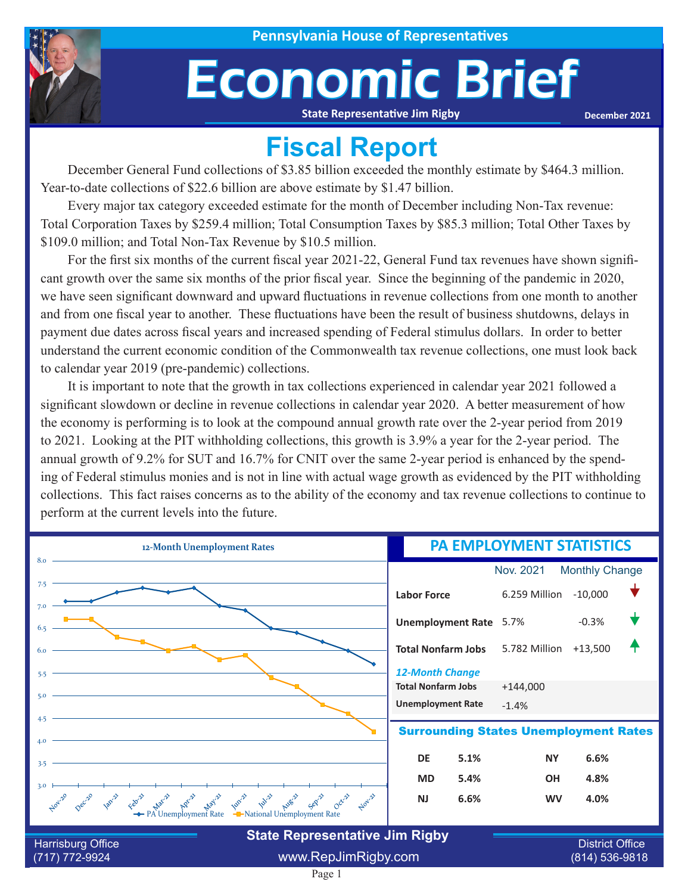

# Economic Brief

**State Representative Jim Rigby**

**December 2021**

### **Fiscal Report**

December General Fund collections of \$3.85 billion exceeded the monthly estimate by \$464.3 million. Year-to-date collections of \$22.6 billion are above estimate by \$1.47 billion.

Every major tax category exceeded estimate for the month of December including Non-Tax revenue: Total Corporation Taxes by \$259.4 million; Total Consumption Taxes by \$85.3 million; Total Other Taxes by \$109.0 million; and Total Non-Tax Revenue by \$10.5 million.

For the first six months of the current fiscal year 2021-22, General Fund tax revenues have shown significant growth over the same six months of the prior fiscal year. Since the beginning of the pandemic in 2020, we have seen significant downward and upward fluctuations in revenue collections from one month to another and from one fiscal year to another. These fluctuations have been the result of business shutdowns, delays in payment due dates across fiscal years and increased spending of Federal stimulus dollars. In order to better understand the current economic condition of the Commonwealth tax revenue collections, one must look back to calendar year 2019 (pre-pandemic) collections.

It is important to note that the growth in tax collections experienced in calendar year 2021 followed a significant slowdown or decline in revenue collections in calendar year 2020. A better measurement of how the economy is performing is to look at the compound annual growth rate over the 2-year period from 2019 to 2021. Looking at the PIT withholding collections, this growth is 3.9% a year for the 2-year period. The annual growth of 9.2% for SUT and 16.7% for CNIT over the same 2-year period is enhanced by the spending of Federal stimulus monies and is not in line with actual wage growth as evidenced by the PIT withholding collections. This fact raises concerns as to the ability of the economy and tax revenue collections to continue to perform at the current levels into the future.

| 12-Month Unemployment Rates                                                                                                                                                                                                                                                                                                                                                                                                                                         | <b>PA EMPLOYMENT STATISTICS</b> |                       |                        |  |  |  |  |  |
|---------------------------------------------------------------------------------------------------------------------------------------------------------------------------------------------------------------------------------------------------------------------------------------------------------------------------------------------------------------------------------------------------------------------------------------------------------------------|---------------------------------|-----------------------|------------------------|--|--|--|--|--|
| 8.0                                                                                                                                                                                                                                                                                                                                                                                                                                                                 |                                 | Nov. 2021             | <b>Monthly Change</b>  |  |  |  |  |  |
| 7.5                                                                                                                                                                                                                                                                                                                                                                                                                                                                 | <b>Labor Force</b>              | 6.259 Million         | $-10,000$              |  |  |  |  |  |
| 7.0                                                                                                                                                                                                                                                                                                                                                                                                                                                                 | Unemployment Rate 5.7%          |                       | $-0.3%$                |  |  |  |  |  |
|                                                                                                                                                                                                                                                                                                                                                                                                                                                                     | <b>Total Nonfarm Jobs</b>       | 5.782 Million +13,500 |                        |  |  |  |  |  |
| 5.5                                                                                                                                                                                                                                                                                                                                                                                                                                                                 | <b>12-Month Change</b>          |                       |                        |  |  |  |  |  |
| 5.0                                                                                                                                                                                                                                                                                                                                                                                                                                                                 | <b>Total Nonfarm Jobs</b>       | $+144,000$            |                        |  |  |  |  |  |
|                                                                                                                                                                                                                                                                                                                                                                                                                                                                     | <b>Unemployment Rate</b>        | $-1.4%$               |                        |  |  |  |  |  |
| 4.5<br><b>Surrounding States Unemployment Rates</b><br>4.0                                                                                                                                                                                                                                                                                                                                                                                                          |                                 |                       |                        |  |  |  |  |  |
| 3.5                                                                                                                                                                                                                                                                                                                                                                                                                                                                 | <b>DE</b><br>5.1%               | <b>NY</b>             | 6.6%                   |  |  |  |  |  |
| 3.0                                                                                                                                                                                                                                                                                                                                                                                                                                                                 | <b>MD</b><br>5.4%               | OH                    | 4.8%                   |  |  |  |  |  |
| Nov-21<br>land really that is<br>$\mu^{\text{max}}$ $\mu^{\text{max}}$ $\mu^{\text{max}}$ $\mu^{\text{max}}$ $\mu^{\text{max}}$ $\mu^{\text{max}}$ $\mu^{\text{max}}$ $\sigma^{\text{max}}$ $\sigma^{\text{max}}$ $\sigma^{\text{max}}$ $\sigma^{\text{max}}$ $\sigma^{\text{max}}$ $\sigma^{\text{max}}$ $\sigma^{\text{max}}$ $\sigma^{\text{max}}$ $\sigma^{\text{max}}$ $\sigma^{\text{max}}$ $\sigma^{\text{max}}$ $\sigma^{\text{max}}$ $\sigma^{\text{max}}$ | <b>NJ</b><br>6.6%               | <b>WV</b>             | 4.0%                   |  |  |  |  |  |
| <b>State Representative Jim Rigby</b><br>Harrisburg Office                                                                                                                                                                                                                                                                                                                                                                                                          |                                 |                       | <b>District Office</b> |  |  |  |  |  |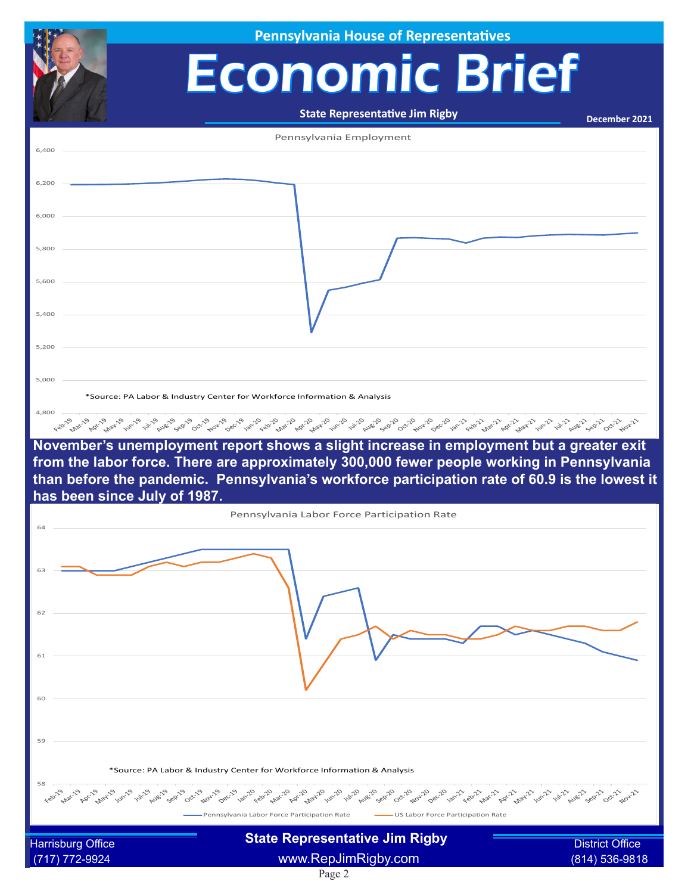|                | <b>Pennsylvania House of Representatives</b>                                                                                                                                                                                                                                                                          |                        |
|----------------|-----------------------------------------------------------------------------------------------------------------------------------------------------------------------------------------------------------------------------------------------------------------------------------------------------------------------|------------------------|
|                | <b>Economic Brief</b>                                                                                                                                                                                                                                                                                                 |                        |
|                |                                                                                                                                                                                                                                                                                                                       |                        |
|                | <b>State Representative Jim Rigby</b>                                                                                                                                                                                                                                                                                 | December 2021          |
| 6,400          | Pennsylvania Employment                                                                                                                                                                                                                                                                                               |                        |
|                |                                                                                                                                                                                                                                                                                                                       |                        |
| 6,200<br>6,000 |                                                                                                                                                                                                                                                                                                                       |                        |
| 5,800          |                                                                                                                                                                                                                                                                                                                       |                        |
| 5,600          |                                                                                                                                                                                                                                                                                                                       |                        |
| 5,400          |                                                                                                                                                                                                                                                                                                                       |                        |
| 5,200          |                                                                                                                                                                                                                                                                                                                       |                        |
| 5,000          |                                                                                                                                                                                                                                                                                                                       |                        |
| 4,800          | *Source: PA Labor & Industry Center for Workforce Information & Analysis                                                                                                                                                                                                                                              |                        |
|                | November's unemployment report shows a slight increase in employment but a greater exit                                                                                                                                                                                                                               |                        |
|                | from the labor force. There are approximately 300,000 fewer people working in Pennsylvania<br>than before the pandemic. Pennsylvania's workforce participation rate of 60.9 is the lowest it                                                                                                                          |                        |
|                | has been since July of 1987.                                                                                                                                                                                                                                                                                          |                        |
| 64             | Pennsylvania Labor Force Participation Rate                                                                                                                                                                                                                                                                           |                        |
|                |                                                                                                                                                                                                                                                                                                                       |                        |
| 62             |                                                                                                                                                                                                                                                                                                                       |                        |
|                |                                                                                                                                                                                                                                                                                                                       |                        |
| 61             |                                                                                                                                                                                                                                                                                                                       |                        |
| 60             |                                                                                                                                                                                                                                                                                                                       |                        |
| 59             |                                                                                                                                                                                                                                                                                                                       |                        |
|                | *Source: PA Labor & Industry Center for Workforce Information & Analysis                                                                                                                                                                                                                                              |                        |
| 58             | ری کے بھی کھیلا کر بھی گھر کر گئی گھر کر کھیلا کر بھی کھیلے کے بھیل کر کھیلا کر کھیلا کر کھیلا کر بھی کھیلا کر<br>مقامتی کے بارے کی کھیلا کر بھی کہ بھی کہ بھیل کر کھیلا کر بھی کھیلا کر بھی کھیلا کر کھیلا کر کھیلا کر بھی کھیل<br>Pennsylvania Labor Force Participation Rate<br>-US Labor Force Participation Rate |                        |
|                | <b>State Representative Jim Rigby</b><br><b>Harrisburg Office</b>                                                                                                                                                                                                                                                     | <b>District Office</b> |
|                |                                                                                                                                                                                                                                                                                                                       |                        |